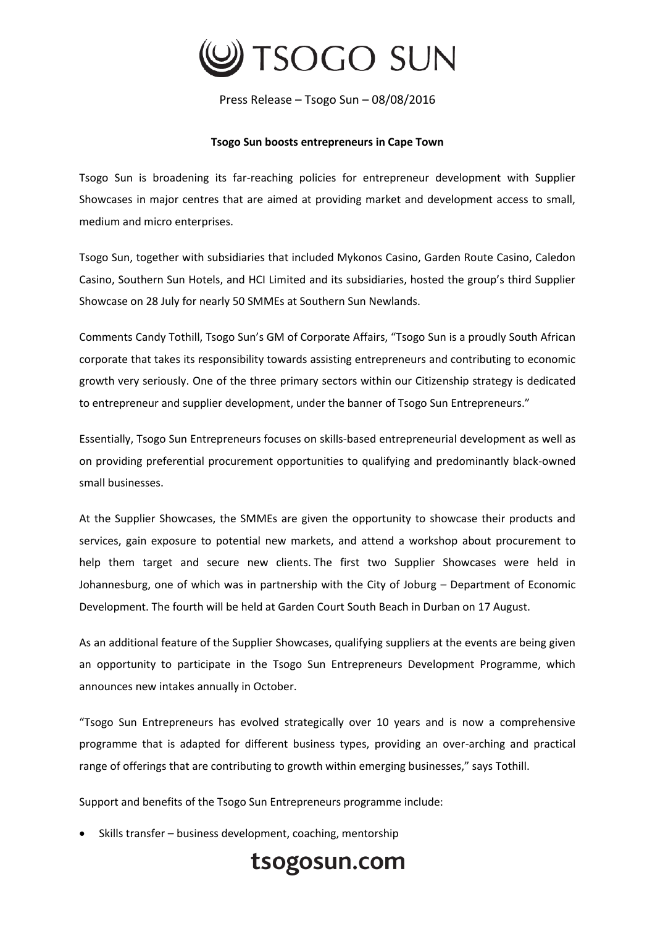

Press Release – Tsogo Sun – 08/08/2016

## **Tsogo Sun boosts entrepreneurs in Cape Town**

Tsogo Sun is broadening its far-reaching policies for entrepreneur development with Supplier Showcases in major centres that are aimed at providing market and development access to small, medium and micro enterprises.

Tsogo Sun, together with subsidiaries that included Mykonos Casino, Garden Route Casino, Caledon Casino, Southern Sun Hotels, and HCI Limited and its subsidiaries, hosted the group's third Supplier Showcase on 28 July for nearly 50 SMMEs at Southern Sun Newlands.

Comments Candy Tothill, Tsogo Sun's GM of Corporate Affairs, "Tsogo Sun is a proudly South African corporate that takes its responsibility towards assisting entrepreneurs and contributing to economic growth very seriously. One of the three primary sectors within our Citizenship strategy is dedicated to entrepreneur and supplier development, under the banner of Tsogo Sun Entrepreneurs."

Essentially, Tsogo Sun Entrepreneurs focuses on skills-based entrepreneurial development as well as on providing preferential procurement opportunities to qualifying and predominantly black-owned small businesses.

At the Supplier Showcases, the SMMEs are given the opportunity to showcase their products and services, gain exposure to potential new markets, and attend a workshop about procurement to help them target and secure new clients. The first two Supplier Showcases were held in Johannesburg, one of which was in partnership with the City of Joburg – Department of Economic Development. The fourth will be held at Garden Court South Beach in Durban on 17 August.

As an additional feature of the Supplier Showcases, qualifying suppliers at the events are being given an opportunity to participate in the Tsogo Sun Entrepreneurs Development Programme, which announces new intakes annually in October.

"Tsogo Sun Entrepreneurs has evolved strategically over 10 years and is now a comprehensive programme that is adapted for different business types, providing an over-arching and practical range of offerings that are contributing to growth within emerging businesses," says Tothill.

Support and benefits of the Tsogo Sun Entrepreneurs programme include:

Skills transfer – business development, coaching, mentorship

## tsogosun.com